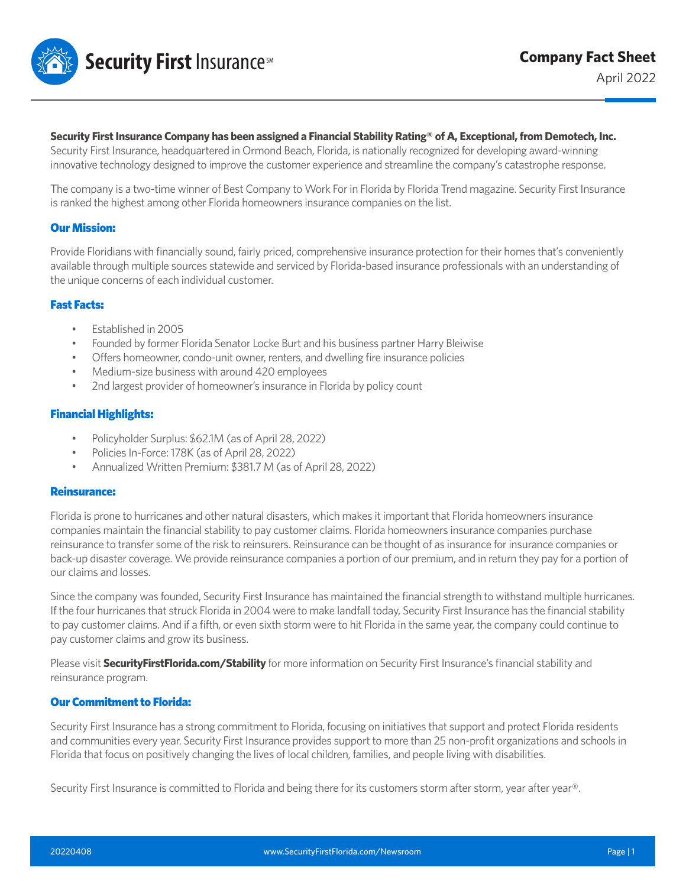

## **Security First Insurance Company has been assigned a Financial Stability Rating® of A, Exceptional, from Demotech, Inc.**

Security First Insurance, headquartered in Ormond Beach, Florida, is nationally recognized for developing award-winning innovative technology designed to improve the customer experience and streamline the company's catastrophe response.

The company is a two-time winner of Best Company to Work For in Florida by Florida Trend magazine. Security First Insurance is ranked the highest among other Florida homeowners insurance companies on the list.

## Our Mission:

Provide Floridians with financially sound, fairly priced, comprehensive insurance protection for their homes that's conveniently available through multiple sources statewide and serviced by Florida-based insurance professionals with an understanding of the unique concerns of each individual customer.

## Fast Facts:

- Established in 2005
- Founded by former Florida Senator Locke Burt and his business partner Harry Bleiwise
- Offers homeowner, condo-unit owner, renters, and dwelling fire insurance policies
- Medium-size business with around 420 employees
- 2nd largest provider of homeowner's insurance in Florida by policy count

# Financial Highlights:

- Policyholder Surplus: \$62.1M (as of April 28, 2022)
- Policies In-Force: 178K (as of April 28, 2022)
- Annualized Written Premium: \$381.7 M (as of April 28, 2022)

#### Reinsurance:

Florida is prone to hurricanes and other natural disasters, which makes it important that Florida homeowners insurance companies maintain the financial stability to pay customer claims. Florida homeowners insurance companies purchase reinsurance to transfer some of the risk to reinsurers. Reinsurance can be thought of as insurance for insurance companies or back-up disaster coverage. We provide reinsurance companies a portion of our premium, and in return they pay for a portion of our claims and losses.

Since the company was founded, Security First Insurance has maintained the financial strength to withstand multiple hurricanes. If the four hurricanes that struck Florida in 2004 were to make landfall today, Security First Insurance has the financial stability to pay customer claims. And if a fifth, or even sixth storm were to hit Florida in the same year, the company could continue to pay customer claims and grow its business.

Please visit **SecurityFirstFlorida.com/Stability** for more information on Security First Insurance's financial stability and reinsurance program.

# Our Commitment to Florida:

Security First Insurance has a strong commitment to Florida, focusing on initiatives that support and protect Florida residents and communities every year. Security First Insurance provides support to more than 25 non-profit organizations and schools in Florida that focus on positively changing the lives of local children, families, and people living with disabilities.

Security First Insurance is committed to Florida and being there for its customers storm after storm, year after year®.